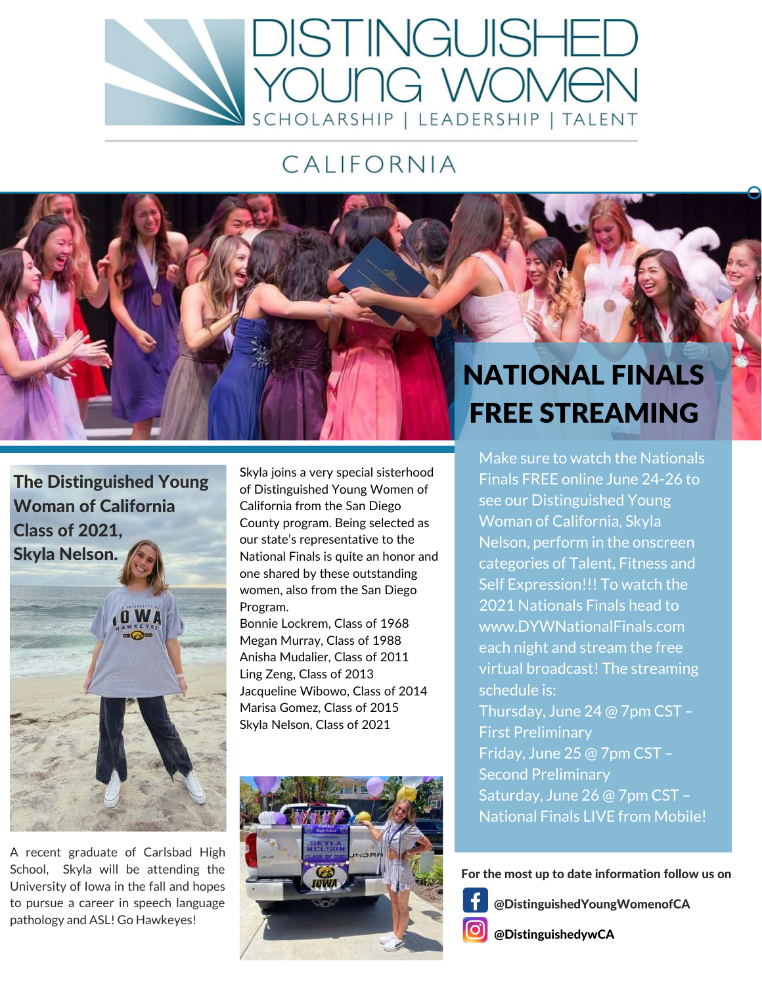

## CALIFORNIA

# NATIONAL FINALS FREE STREAMING

Make sure to watch the Nationals Finals FREE online June 24-26 to see our Distinguished Young Woman of California, Skyla Nelson, perform in the onscreen categories of Talent, Fitness and Self Expression!!! To watch the 2021 Nationals Finals head to www.DYWNationalFinals.com each night and stream the free virtual broadcast! The streaming schedule is: Thursday, June 24 @ 7pm CST – First Preliminary Friday, June 25 @ 7pm CST – Second Preliminary Saturday, June 26 @ 7pm CST – National Finals LIVE from Mobile!

For the most up to date information follow us on

@DistinguishedYoungWomenofCA  $\lbrack$ O]

@DistinguishedywCA

Woman of California Class of 2021, Skyla Nelson.

The Distinguished Young

A recent graduate of Carlsbad High School, Skyla will be attending the University of Iowa in the fall and hopes to pursue a career in speech language pathology and ASL! Go Hawkeyes!

Skyla joins a very special sisterhood of Distinguished Young Women of California from the San Diego County program. Being selected as our state's representative to the National Finals is quite an honor and one shared by these outstanding women, also from the San Diego Program.

Bonnie Lockrem, Class of 1968 Megan Murray, Class of 1988 Anisha Mudalier, Class of 2011 Ling Zeng, Class of 2013 Jacqueline Wibowo, Class of 2014 Marisa Gomez, Class of 2015 Skyla Nelson, Class of 2021